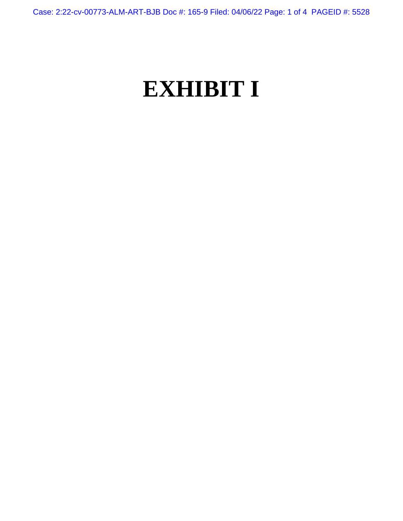Case: 2:22-cv-00773-ALM-ART-BJB Doc #: 165-9 Filed: 04/06/22 Page: 1 of 4 PAGEID #: 5528

## **EXHIBIT I**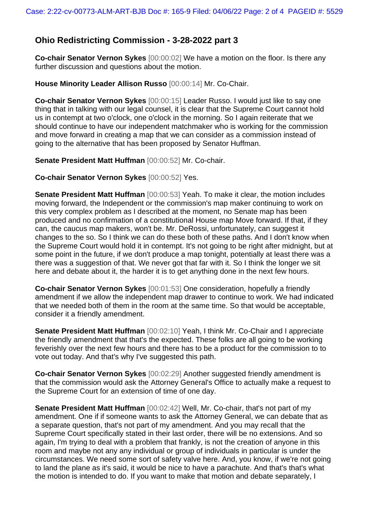## **Ohio Redistricting Commission - 3-28-2022 part 3**

**Co-chair Senator Vernon Sykes** [00:00:02] We have a motion on the floor. Is there any further discussion and questions about the motion.

## **House Minority Leader Allison Russo** [00:00:14] Mr. Co-Chair.

**Co-chair Senator Vernon Sykes** [00:00:15] Leader Russo. I would just like to say one thing that in talking with our legal counsel, it is clear that the Supreme Court cannot hold us in contempt at two o'clock, one o'clock in the morning. So I again reiterate that we should continue to have our independent matchmaker who is working for the commission and move forward in creating a map that we can consider as a commission instead of going to the alternative that has been proposed by Senator Huffman.

**Senate President Matt Huffman** [00:00:52] Mr. Co-chair.

**Co-chair Senator Vernon Sykes** [00:00:52] Yes.

**Senate President Matt Huffman** [00:00:53] Yeah. To make it clear, the motion includes moving forward, the Independent or the commission's map maker continuing to work on this very complex problem as I described at the moment, no Senate map has been produced and no confirmation of a constitutional House map Move forward. If that, if they can, the caucus map makers, won't be. Mr. DeRossi, unfortunately, can suggest it changes to the so. So I think we can do these both of these paths. And I don't know when the Supreme Court would hold it in contempt. It's not going to be right after midnight, but at some point in the future, if we don't produce a map tonight, potentially at least there was a there was a suggestion of that. We never got that far with it. So I think the longer we sit here and debate about it, the harder it is to get anything done in the next few hours.

**Co-chair Senator Vernon Sykes** [00:01:53] One consideration, hopefully a friendly amendment if we allow the independent map drawer to continue to work. We had indicated that we needed both of them in the room at the same time. So that would be acceptable, consider it a friendly amendment.

**Senate President Matt Huffman** [00:02:10] Yeah, I think Mr. Co-Chair and I appreciate the friendly amendment that that's the expected. These folks are all going to be working feverishly over the next few hours and there has to be a product for the commission to to vote out today. And that's why I've suggested this path.

**Co-chair Senator Vernon Sykes** [00:02:29] Another suggested friendly amendment is that the commission would ask the Attorney General's Office to actually make a request to the Supreme Court for an extension of time of one day.

**Senate President Matt Huffman** [00:02:42] Well, Mr. Co-chair, that's not part of my amendment. One if if someone wants to ask the Attorney General, we can debate that as a separate question, that's not part of my amendment. And you may recall that the Supreme Court specifically stated in their last order, there will be no extensions. And so again, I'm trying to deal with a problem that frankly, is not the creation of anyone in this room and maybe not any any individual or group of individuals in particular is under the circumstances. We need some sort of safety valve here. And, you know, if we're not going to land the plane as it's said, it would be nice to have a parachute. And that's that's what the motion is intended to do. If you want to make that motion and debate separately, I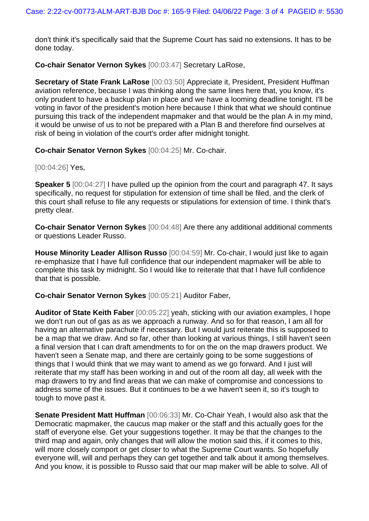don't think it's specifically said that the Supreme Court has said no extensions. It has to be done today.

**Co-chair Senator Vernon Sykes** [00:03:47] Secretary LaRose,

**Secretary of State Frank LaRose** [00:03:50] Appreciate it, President, President Huffman aviation reference, because I was thinking along the same lines here that, you know, it's only prudent to have a backup plan in place and we have a looming deadline tonight. I'll be voting in favor of the president's motion here because I think that what we should continue pursuing this track of the independent mapmaker and that would be the plan A in my mind, it would be unwise of us to not be prepared with a Plan B and therefore find ourselves at risk of being in violation of the court's order after midnight tonight.

**Co-chair Senator Vernon Sykes** [00:04:25] Mr. Co-chair.

[00:04:26] **Yes**,

**Speaker 5** [00:04:27] I have pulled up the opinion from the court and paragraph 47. It says specifically, no request for stipulation for extension of time shall be filed, and the clerk of this court shall refuse to file any requests or stipulations for extension of time. I think that's pretty clear.

**Co-chair Senator Vernon Sykes** [00:04:48] Are there any additional additional comments or questions Leader Russo.

**House Minority Leader Allison Russo** [00:04:59] Mr. Co-chair, I would just like to again re-emphasize that I have full confidence that our independent mapmaker will be able to complete this task by midnight. So I would like to reiterate that that I have full confidence that that is possible.

**Co-chair Senator Vernon Sykes** [00:05:21] Auditor Faber,

**Auditor of State Keith Faber** [00:05:22] yeah, sticking with our aviation examples, I hope we don't run out of gas as as we approach a runway. And so for that reason, I am all for having an alternative parachute if necessary. But I would just reiterate this is supposed to be a map that we draw. And so far, other than looking at various things, I still haven't seen a final version that I can draft amendments to for on the on the map drawers product. We haven't seen a Senate map, and there are certainly going to be some suggestions of things that I would think that we may want to amend as we go forward. And I just will reiterate that my staff has been working in and out of the room all day, all week with the map drawers to try and find areas that we can make of compromise and concessions to address some of the issues. But it continues to be a we haven't seen it, so it's tough to tough to move past it.

**Senate President Matt Huffman** [00:06:33] Mr. Co-Chair Yeah, I would also ask that the Democratic mapmaker, the caucus map maker or the staff and this actually goes for the staff of everyone else. Get your suggestions together. It may be that the changes to the third map and again, only changes that will allow the motion said this, if it comes to this, will more closely comport or get closer to what the Supreme Court wants. So hopefully everyone will, will and perhaps they can get together and talk about it among themselves. And you know, it is possible to Russo said that our map maker will be able to solve. All of